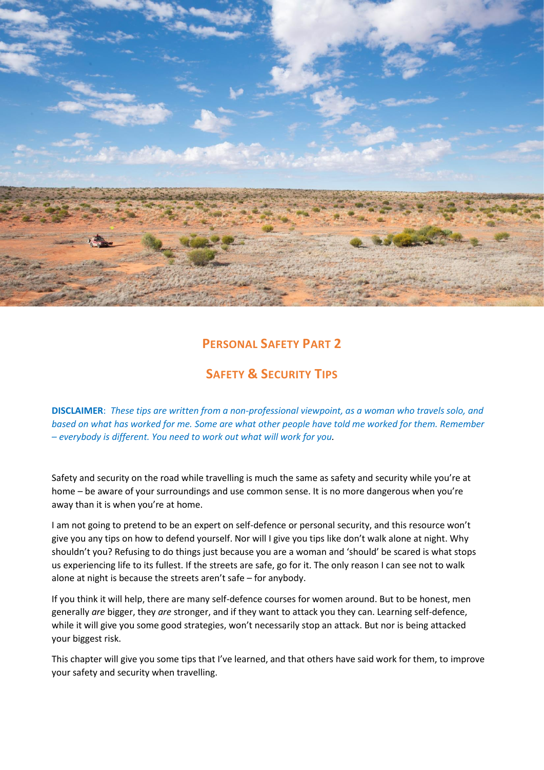

# **PERSONAL SAFETY PART 2**

# **SAFETY & SECURITY TIPS**

**DISCLAIMER**: *These tips are written from a non-professional viewpoint, as a woman who travels solo, and based on what has worked for me. Some are what other people have told me worked for them. Remember – everybody is different. You need to work out what will work for you.*

Safety and security on the road while travelling is much the same as safety and security while you're at home – be aware of your surroundings and use common sense. It is no more dangerous when you're away than it is when you're at home.

I am not going to pretend to be an expert on self-defence or personal security, and this resource won't give you any tips on how to defend yourself. Nor will I give you tips like don't walk alone at night. Why shouldn't you? Refusing to do things just because you are a woman and 'should' be scared is what stops us experiencing life to its fullest. If the streets are safe, go for it. The only reason I can see not to walk alone at night is because the streets aren't safe – for anybody.

If you think it will help, there are many self-defence courses for women around. But to be honest, men generally *are* bigger, they *are* stronger, and if they want to attack you they can. Learning self-defence, while it will give you some good strategies, won't necessarily stop an attack. But nor is being attacked your biggest risk.

This chapter will give you some tips that I've learned, and that others have said work for them, to improve your safety and security when travelling.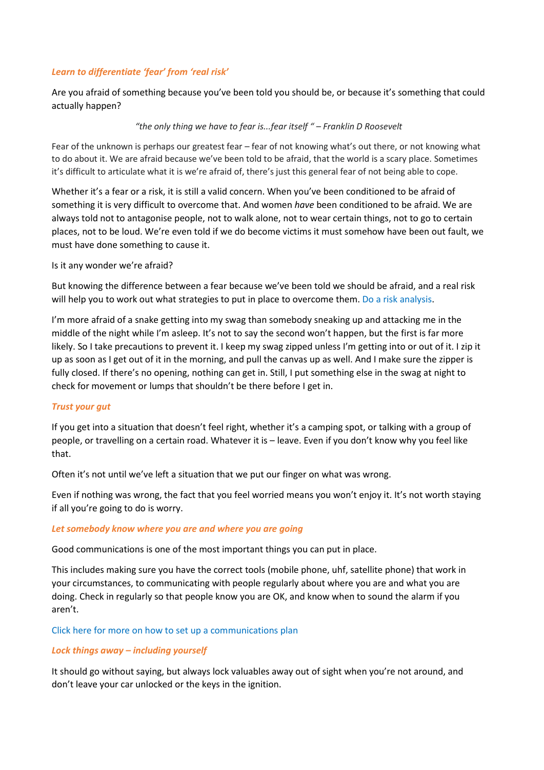# *Learn to differentiate 'fear' from 'real risk'*

Are you afraid of something because you've been told you should be, or because it's something that could actually happen?

### *"the only thing we have to fear is...fear itself " – Franklin D Roosevelt*

Fear of the unknown is perhaps our greatest fear – fear of not knowing what's out there, or not knowing what to do about it. We are afraid because we've been told to be afraid, that the world is a scary place. Sometimes it's difficult to articulate what it is we're afraid of, there's just this general fear of not being able to cope.

Whether it's a fear or a risk, it is still a valid concern. When you've been conditioned to be afraid of something it is very difficult to overcome that. And women *have* been conditioned to be afraid. We are always told not to antagonise people, not to walk alone, not to wear certain things, not to go to certain places, not to be loud. We're even told if we do become victims it must somehow have been out fault, we must have done something to cause it.

Is it any wonder we're afraid?

But knowing the difference between a fear because we've been told we should be afraid, and a real risk will help you to work out what strategies to put in place to overcome them. Do a risk analysis.

I'm more afraid of a snake getting into my swag than somebody sneaking up and attacking me in the middle of the night while I'm asleep. It's not to say the second won't happen, but the first is far more likely. So I take precautions to prevent it. I keep my swag zipped unless I'm getting into or out of it. I zip it up as soon as I get out of it in the morning, and pull the canvas up as well. And I make sure the zipper is fully closed. If there's no opening, nothing can get in. Still, I put something else in the swag at night to check for movement or lumps that shouldn't be there before I get in.

## *Trust your gut*

If you get into a situation that doesn't feel right, whether it's a camping spot, or talking with a group of people, or travelling on a certain road. Whatever it is – leave. Even if you don't know why you feel like that.

Often it's not until we've left a situation that we put our finger on what was wrong.

Even if nothing was wrong, the fact that you feel worried means you won't enjoy it. It's not worth staying if all you're going to do is worry.

#### *Let somebody know where you are and where you are going*

Good communications is one of the most important things you can put in place.

This includes making sure you have the correct tools (mobile phone, uhf, satellite phone) that work in your circumstances, to communicating with people regularly about where you are and what you are doing. Check in regularly so that people know you are OK, and know when to sound the alarm if you aren't.

#### Click here for more on how to set up a communications plan

#### *Lock things away – including yourself*

It should go without saying, but always lock valuables away out of sight when you're not around, and don't leave your car unlocked or the keys in the ignition.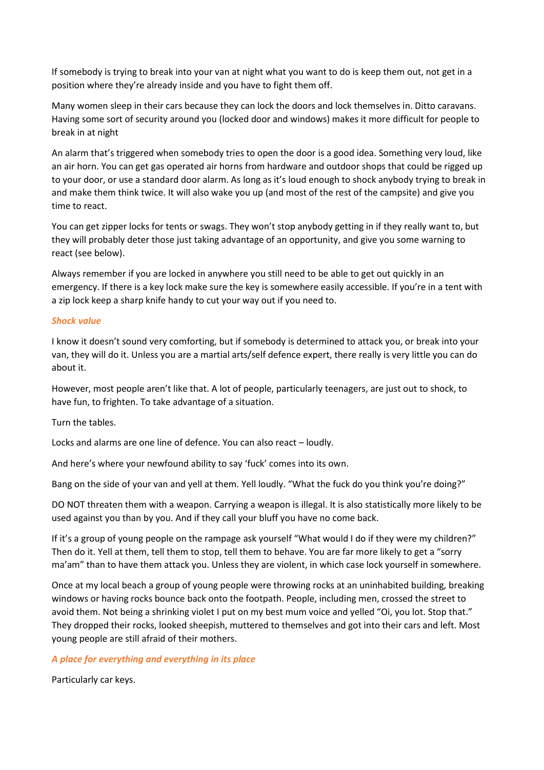If somebody is trying to break into your van at night what you want to do is keep them out, not get in a position where they're already inside and you have to fight them off.

Many women sleep in their cars because they can lock the doors and lock themselves in. Ditto caravans. Having some sort of security around you (locked door and windows) makes it more difficult for people to break in at night

An alarm that's triggered when somebody tries to open the door is a good idea. Something very loud, like an air horn. You can get gas operated air horns from hardware and outdoor shops that could be rigged up to your door, or use a standard door alarm. As long as it's loud enough to shock anybody trying to break in and make them think twice. It will also wake you up (and most of the rest of the campsite) and give you time to react.

You can get zipper locks for tents or swags. They won't stop anybody getting in if they really want to, but they will probably deter those just taking advantage of an opportunity, and give you some warning to react (see below).

Always remember if you are locked in anywhere you still need to be able to get out quickly in an emergency. If there is a key lock make sure the key is somewhere easily accessible. If you're in a tent with a zip lock keep a sharp knife handy to cut your way out if you need to.

## *Shock value*

I know it doesn't sound very comforting, but if somebody is determined to attack you, or break into your van, they will do it. Unless you are a martial arts/self defence expert, there really is very little you can do about it.

However, most people aren't like that. A lot of people, particularly teenagers, are just out to shock, to have fun, to frighten. To take advantage of a situation.

Turn the tables.

Locks and alarms are one line of defence. You can also react – loudly.

And here's where your newfound ability to say 'fuck' comes into its own.

Bang on the side of your van and yell at them. Yell loudly. "What the fuck do you think you're doing?"

DO NOT threaten them with a weapon. Carrying a weapon is illegal. It is also statistically more likely to be used against you than by you. And if they call your bluff you have no come back.

If it's a group of young people on the rampage ask yourself "What would I do if they were my children?" Then do it. Yell at them, tell them to stop, tell them to behave. You are far more likely to get a "sorry ma'am" than to have them attack you. Unless they are violent, in which case lock yourself in somewhere.

Once at my local beach a group of young people were throwing rocks at an uninhabited building, breaking windows or having rocks bounce back onto the footpath. People, including men, crossed the street to avoid them. Not being a shrinking violet I put on my best mum voice and yelled "Oi, you lot. Stop that." They dropped their rocks, looked sheepish, muttered to themselves and got into their cars and left. Most young people are still afraid of their mothers.

## *A place for everything and everything in its place*

Particularly car keys.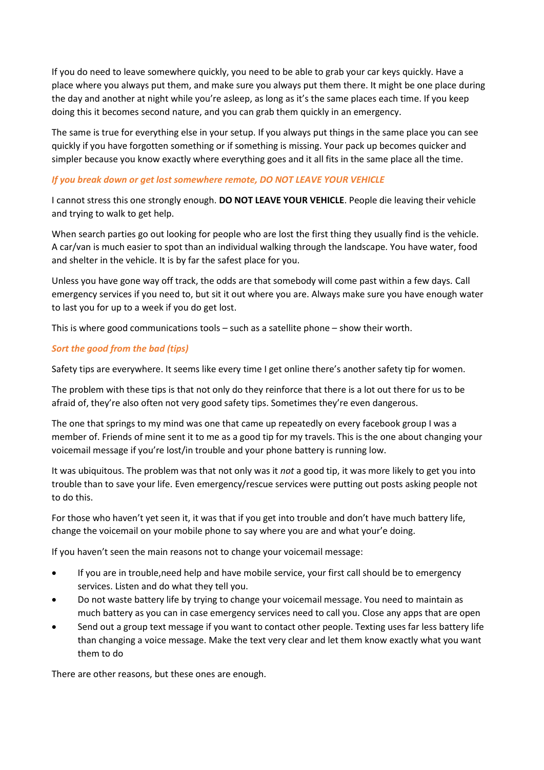If you do need to leave somewhere quickly, you need to be able to grab your car keys quickly. Have a place where you always put them, and make sure you always put them there. It might be one place during the day and another at night while you're asleep, as long as it's the same places each time. If you keep doing this it becomes second nature, and you can grab them quickly in an emergency.

The same is true for everything else in your setup. If you always put things in the same place you can see quickly if you have forgotten something or if something is missing. Your pack up becomes quicker and simpler because you know exactly where everything goes and it all fits in the same place all the time.

# *If you break down or get lost somewhere remote, DO NOT LEAVE YOUR VEHICLE*

I cannot stress this one strongly enough. **DO NOT LEAVE YOUR VEHICLE**. People die leaving their vehicle and trying to walk to get help.

When search parties go out looking for people who are lost the first thing they usually find is the vehicle. A car/van is much easier to spot than an individual walking through the landscape. You have water, food and shelter in the vehicle. It is by far the safest place for you.

Unless you have gone way off track, the odds are that somebody will come past within a few days. Call emergency services if you need to, but sit it out where you are. Always make sure you have enough water to last you for up to a week if you do get lost.

This is where good communications tools – such as a satellite phone – show their worth.

# *Sort the good from the bad (tips)*

Safety tips are everywhere. It seems like every time I get online there's another safety tip for women.

The problem with these tips is that not only do they reinforce that there is a lot out there for us to be afraid of, they're also often not very good safety tips. Sometimes they're even dangerous.

The one that springs to my mind was one that came up repeatedly on every facebook group I was a member of. Friends of mine sent it to me as a good tip for my travels. This is the one about changing your voicemail message if you're lost/in trouble and your phone battery is running low.

It was ubiquitous. The problem was that not only was it *not* a good tip, it was more likely to get you into trouble than to save your life. Even emergency/rescue services were putting out posts asking people not to do this.

For those who haven't yet seen it, it was that if you get into trouble and don't have much battery life, change the voicemail on your mobile phone to say where you are and what your'e doing.

If you haven't seen the main reasons not to change your voicemail message:

- If you are in trouble,need help and have mobile service, your first call should be to emergency services. Listen and do what they tell you.
- Do not waste battery life by trying to change your voicemail message. You need to maintain as much battery as you can in case emergency services need to call you. Close any apps that are open
- Send out a group text message if you want to contact other people. Texting uses far less battery life than changing a voice message. Make the text very clear and let them know exactly what you want them to do

There are other reasons, but these ones are enough.